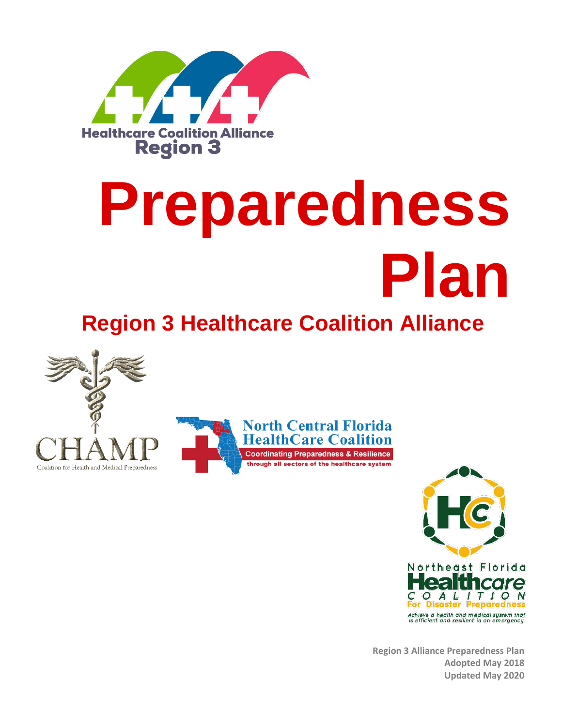

# **Preparedness Plan**

# **Region 3 Healthcare Coalition Alliance**





**Region 3 Alliance Preparedness Plan Adopted May 2018 Updated May 2020**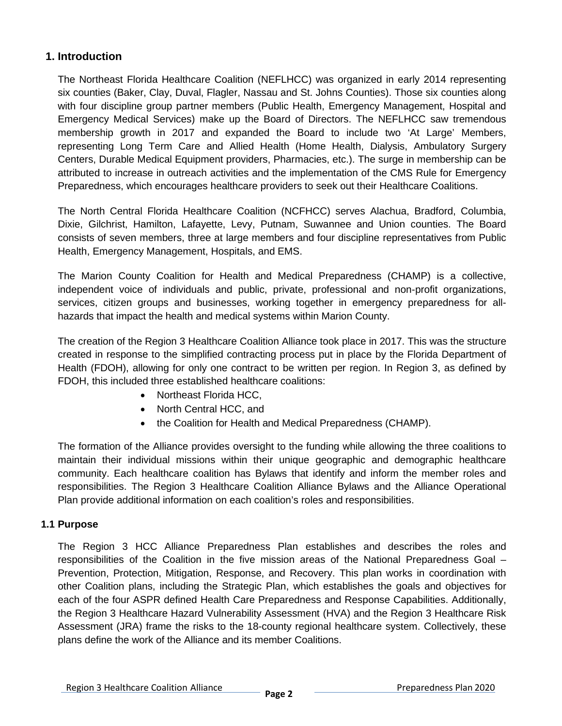### **1. Introduction**

The Northeast Florida Healthcare Coalition (NEFLHCC) was organized in early 2014 representing six counties (Baker, Clay, Duval, Flagler, Nassau and St. Johns Counties). Those six counties along with four discipline group partner members (Public Health, Emergency Management, Hospital and Emergency Medical Services) make up the Board of Directors. The NEFLHCC saw tremendous membership growth in 2017 and expanded the Board to include two 'At Large' Members, representing Long Term Care and Allied Health (Home Health, Dialysis, Ambulatory Surgery Centers, Durable Medical Equipment providers, Pharmacies, etc.). The surge in membership can be attributed to increase in outreach activities and the implementation of the CMS Rule for Emergency Preparedness, which encourages healthcare providers to seek out their Healthcare Coalitions.

The North Central Florida Healthcare Coalition (NCFHCC) serves Alachua, Bradford, Columbia, Dixie, Gilchrist, Hamilton, Lafayette, Levy, Putnam, Suwannee and Union counties. The Board consists of seven members, three at large members and four discipline representatives from Public Health, Emergency Management, Hospitals, and EMS.

The Marion County Coalition for Health and Medical Preparedness (CHAMP) is a collective, independent voice of individuals and public, private, professional and non-profit organizations, services, citizen groups and businesses, working together in emergency preparedness for allhazards that impact the health and medical systems within Marion County.

The creation of the Region 3 Healthcare Coalition Alliance took place in 2017. This was the structure created in response to the simplified contracting process put in place by the Florida Department of Health (FDOH), allowing for only one contract to be written per region. In Region 3, as defined by FDOH, this included three established healthcare coalitions:

- Northeast Florida HCC,
- North Central HCC, and
- the Coalition for Health and Medical Preparedness (CHAMP).

The formation of the Alliance provides oversight to the funding while allowing the three coalitions to maintain their individual missions within their unique geographic and demographic healthcare community. Each healthcare coalition has Bylaws that identify and inform the member roles and responsibilities. The Region 3 Healthcare Coalition Alliance Bylaws and the Alliance Operational Plan provide additional information on each coalition's roles and responsibilities.

#### **1.1 Purpose**

The Region 3 HCC Alliance Preparedness Plan establishes and describes the roles and responsibilities of the Coalition in the five mission areas of the National Preparedness Goal – Prevention, Protection, Mitigation, Response, and Recovery. This plan works in coordination with other Coalition plans, including the Strategic Plan, which establishes the goals and objectives for each of the four ASPR defined Health Care Preparedness and Response Capabilities. Additionally, the Region 3 Healthcare Hazard Vulnerability Assessment (HVA) and the Region 3 Healthcare Risk Assessment (JRA) frame the risks to the 18-county regional healthcare system. Collectively, these plans define the work of the Alliance and its member Coalitions.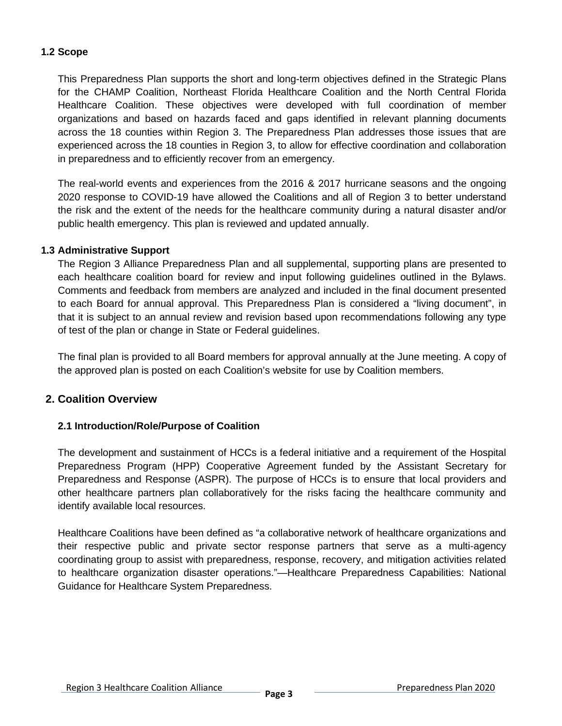#### **1.2 Scope**

This Preparedness Plan supports the short and long-term objectives defined in the Strategic Plans for the CHAMP Coalition, Northeast Florida Healthcare Coalition and the North Central Florida Healthcare Coalition. These objectives were developed with full coordination of member organizations and based on hazards faced and gaps identified in relevant planning documents across the 18 counties within Region 3. The Preparedness Plan addresses those issues that are experienced across the 18 counties in Region 3, to allow for effective coordination and collaboration in preparedness and to efficiently recover from an emergency.

The real-world events and experiences from the 2016 & 2017 hurricane seasons and the ongoing 2020 response to COVID-19 have allowed the Coalitions and all of Region 3 to better understand the risk and the extent of the needs for the healthcare community during a natural disaster and/or public health emergency. This plan is reviewed and updated annually.

#### **1.3 Administrative Support**

The Region 3 Alliance Preparedness Plan and all supplemental, supporting plans are presented to each healthcare coalition board for review and input following guidelines outlined in the Bylaws. Comments and feedback from members are analyzed and included in the final document presented to each Board for annual approval. This Preparedness Plan is considered a "living document", in that it is subject to an annual review and revision based upon recommendations following any type of test of the plan or change in State or Federal guidelines.

The final plan is provided to all Board members for approval annually at the June meeting. A copy of the approved plan is posted on each Coalition's website for use by Coalition members.

#### **2. Coalition Overview**

#### **2.1 Introduction/Role/Purpose of Coalition**

The development and sustainment of HCCs is a federal initiative and a requirement of the Hospital Preparedness Program (HPP) Cooperative Agreement funded by the Assistant Secretary for Preparedness and Response (ASPR). The purpose of HCCs is to ensure that local providers and other healthcare partners plan collaboratively for the risks facing the healthcare community and identify available local resources.

Healthcare Coalitions have been defined as "a collaborative network of healthcare organizations and their respective public and private sector response partners that serve as a multi-agency coordinating group to assist with preparedness, response, recovery, and mitigation activities related to healthcare organization disaster operations."—Healthcare Preparedness Capabilities: National Guidance for Healthcare System Preparedness.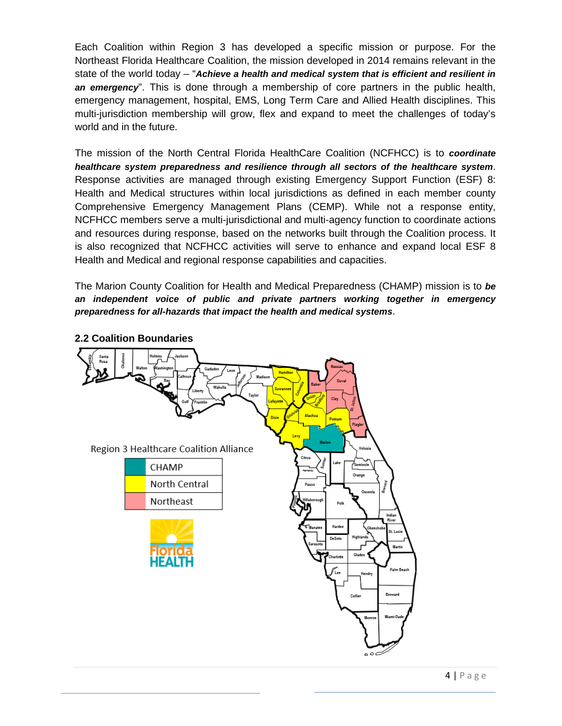Each Coalition within Region 3 has developed a specific mission or purpose. For the Northeast Florida Healthcare Coalition, the mission developed in 2014 remains relevant in the state of the world today – "*Achieve a health and medical system that is efficient and resilient in an emergency*". This is done through a membership of core partners in the public health, emergency management, hospital, EMS, Long Term Care and Allied Health disciplines. This multi-jurisdiction membership will grow, flex and expand to meet the challenges of today's world and in the future.

The mission of the North Central Florida HealthCare Coalition (NCFHCC) is to *coordinate healthcare system preparedness and resilience through all sectors of the healthcare system*. Response activities are managed through existing Emergency Support Function (ESF) 8: Health and Medical structures within local jurisdictions as defined in each member county Comprehensive Emergency Management Plans (CEMP). While not a response entity, NCFHCC members serve a multi-jurisdictional and multi-agency function to coordinate actions and resources during response, based on the networks built through the Coalition process. It is also recognized that NCFHCC activities will serve to enhance and expand local ESF 8 Health and Medical and regional response capabilities and capacities.

The Marion County Coalition for Health and Medical Preparedness (CHAMP) mission is to *be an independent voice of public and private partners working together in emergency preparedness for all-hazards that impact the health and medical systems*.



**2.2 Coalition Boundaries**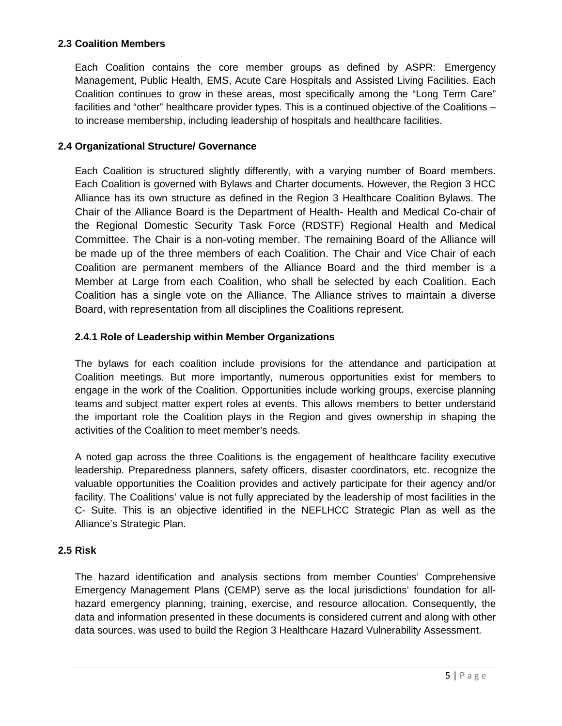#### **2.3 Coalition Members**

Each Coalition contains the core member groups as defined by ASPR: Emergency Management, Public Health, EMS, Acute Care Hospitals and Assisted Living Facilities. Each Coalition continues to grow in these areas, most specifically among the "Long Term Care" facilities and "other" healthcare provider types. This is a continued objective of the Coalitions – to increase membership, including leadership of hospitals and healthcare facilities.

#### **2.4 Organizational Structure/ Governance**

Each Coalition is structured slightly differently, with a varying number of Board members. Each Coalition is governed with Bylaws and Charter documents. However, the Region 3 HCC Alliance has its own structure as defined in the Region 3 Healthcare Coalition Bylaws. The Chair of the Alliance Board is the Department of Health- Health and Medical Co-chair of the Regional Domestic Security Task Force (RDSTF) Regional Health and Medical Committee. The Chair is a non-voting member. The remaining Board of the Alliance will be made up of the three members of each Coalition. The Chair and Vice Chair of each Coalition are permanent members of the Alliance Board and the third member is a Member at Large from each Coalition, who shall be selected by each Coalition. Each Coalition has a single vote on the Alliance. The Alliance strives to maintain a diverse Board, with representation from all disciplines the Coalitions represent.

#### **2.4.1 Role of Leadership within Member Organizations**

The bylaws for each coalition include provisions for the attendance and participation at Coalition meetings. But more importantly, numerous opportunities exist for members to engage in the work of the Coalition. Opportunities include working groups, exercise planning teams and subject matter expert roles at events. This allows members to better understand the important role the Coalition plays in the Region and gives ownership in shaping the activities of the Coalition to meet member's needs.

A noted gap across the three Coalitions is the engagement of healthcare facility executive leadership. Preparedness planners, safety officers, disaster coordinators, etc. recognize the valuable opportunities the Coalition provides and actively participate for their agency and/or facility. The Coalitions' value is not fully appreciated by the leadership of most facilities in the C- Suite. This is an objective identified in the NEFLHCC Strategic Plan as well as the Alliance's Strategic Plan.

#### **2.5 Risk**

The hazard identification and analysis sections from member Counties' Comprehensive Emergency Management Plans (CEMP) serve as the local jurisdictions' foundation for allhazard emergency planning, training, exercise, and resource allocation. Consequently, the data and information presented in these documents is considered current and along with other data sources, was used to build the Region 3 Healthcare Hazard Vulnerability Assessment.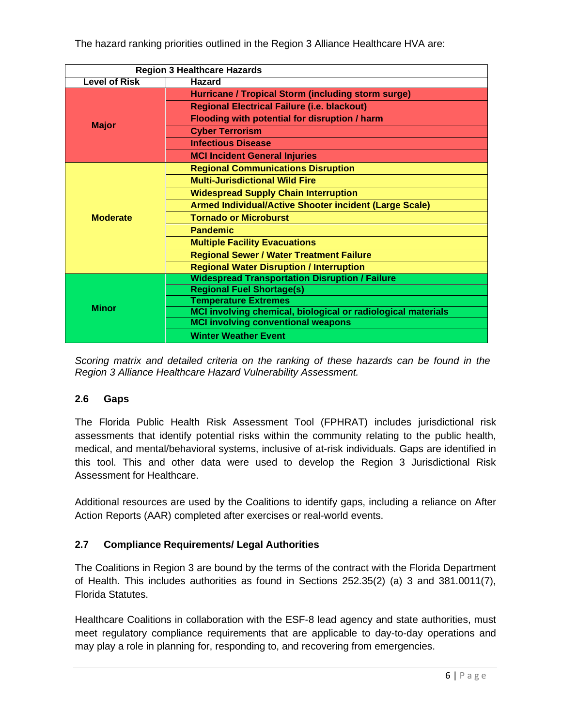The hazard ranking priorities outlined in the Region 3 Alliance Healthcare HVA are:

| <b>Region 3 Healthcare Hazards</b> |                                                               |
|------------------------------------|---------------------------------------------------------------|
| <b>Level of Risk</b>               | <b>Hazard</b>                                                 |
| <b>Major</b>                       | Hurricane / Tropical Storm (including storm surge)            |
|                                    | <b>Regional Electrical Failure (i.e. blackout)</b>            |
|                                    | Flooding with potential for disruption / harm                 |
|                                    | <b>Cyber Terrorism</b>                                        |
|                                    | <b>Infectious Disease</b>                                     |
|                                    | <b>MCI Incident General Injuries</b>                          |
| <b>Moderate</b>                    | <b>Regional Communications Disruption</b>                     |
|                                    | <b>Multi-Jurisdictional Wild Fire</b>                         |
|                                    | <b>Widespread Supply Chain Interruption</b>                   |
|                                    | <b>Armed Individual/Active Shooter incident (Large Scale)</b> |
|                                    | <b>Tornado or Microburst</b>                                  |
|                                    | <b>Pandemic</b>                                               |
|                                    | <b>Multiple Facility Evacuations</b>                          |
|                                    | <b>Regional Sewer / Water Treatment Failure</b>               |
|                                    | <b>Regional Water Disruption / Interruption</b>               |
| <b>Minor</b>                       | <b>Widespread Transportation Disruption / Failure</b>         |
|                                    | <b>Regional Fuel Shortage(s)</b>                              |
|                                    | <b>Temperature Extremes</b>                                   |
|                                    | MCI involving chemical, biological or radiological materials  |
|                                    | <b>MCI involving conventional weapons</b>                     |
|                                    | <b>Winter Weather Event</b>                                   |

*Scoring matrix and detailed criteria on the ranking of these hazards can be found in the Region 3 Alliance Healthcare Hazard Vulnerability Assessment.*

#### **2.6 Gaps**

The Florida Public Health Risk Assessment Tool (FPHRAT) includes jurisdictional risk assessments that identify potential risks within the community relating to the public health, medical, and mental/behavioral systems, inclusive of at-risk individuals. Gaps are identified in this tool. This and other data were used to develop the Region 3 Jurisdictional Risk Assessment for Healthcare.

Additional resources are used by the Coalitions to identify gaps, including a reliance on After Action Reports (AAR) completed after exercises or real-world events.

#### **2.7 Compliance Requirements/ Legal Authorities**

The Coalitions in Region 3 are bound by the terms of the contract with the Florida Department of Health. This includes authorities as found in Sections 252.35(2) (a) 3 and 381.0011(7), Florida Statutes.

Healthcare Coalitions in collaboration with the ESF-8 lead agency and state authorities, must meet regulatory compliance requirements that are applicable to day-to-day operations and may play a role in planning for, responding to, and recovering from emergencies.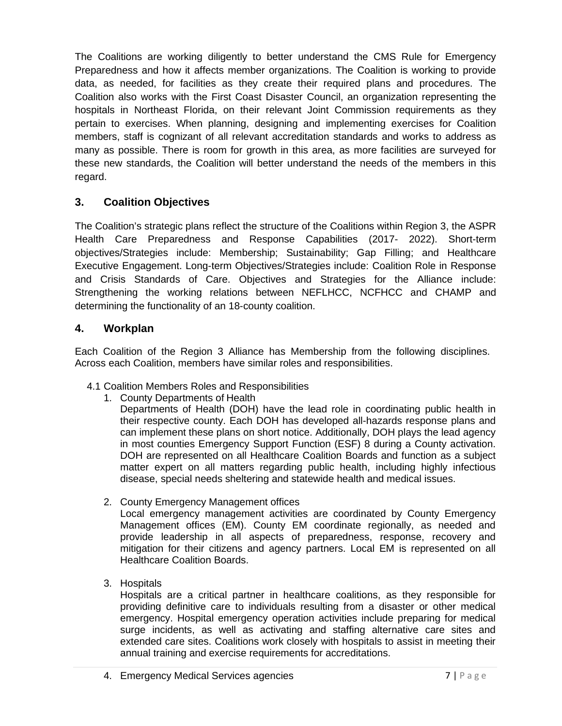The Coalitions are working diligently to better understand the CMS Rule for Emergency Preparedness and how it affects member organizations. The Coalition is working to provide data, as needed, for facilities as they create their required plans and procedures. The Coalition also works with the First Coast Disaster Council, an organization representing the hospitals in Northeast Florida, on their relevant Joint Commission requirements as they pertain to exercises. When planning, designing and implementing exercises for Coalition members, staff is cognizant of all relevant accreditation standards and works to address as many as possible. There is room for growth in this area, as more facilities are surveyed for these new standards, the Coalition will better understand the needs of the members in this regard.

# **3. Coalition Objectives**

The Coalition's strategic plans reflect the structure of the Coalitions within Region 3, the ASPR Health Care Preparedness and Response Capabilities (2017- 2022). Short-term objectives/Strategies include: Membership; Sustainability; Gap Filling; and Healthcare Executive Engagement. Long-term Objectives/Strategies include: Coalition Role in Response and Crisis Standards of Care. Objectives and Strategies for the Alliance include: Strengthening the working relations between NEFLHCC, NCFHCC and CHAMP and determining the functionality of an 18-county coalition.

## **4. Workplan**

Each Coalition of the Region 3 Alliance has Membership from the following disciplines. Across each Coalition, members have similar roles and responsibilities.

- 4.1 Coalition Members Roles and Responsibilities
	- 1. County Departments of Health

Departments of Health (DOH) have the lead role in coordinating public health in their respective county. Each DOH has developed all-hazards response plans and can implement these plans on short notice. Additionally, DOH plays the lead agency in most counties Emergency Support Function (ESF) 8 during a County activation. DOH are represented on all Healthcare Coalition Boards and function as a subject matter expert on all matters regarding public health, including highly infectious disease, special needs sheltering and statewide health and medical issues.

2. County Emergency Management offices

Local emergency management activities are coordinated by County Emergency Management offices (EM). County EM coordinate regionally, as needed and provide leadership in all aspects of preparedness, response, recovery and mitigation for their citizens and agency partners. Local EM is represented on all Healthcare Coalition Boards.

3. Hospitals

Hospitals are a critical partner in healthcare coalitions, as they responsible for providing definitive care to individuals resulting from a disaster or other medical emergency. Hospital emergency operation activities include preparing for medical surge incidents, as well as activating and staffing alternative care sites and extended care sites. Coalitions work closely with hospitals to assist in meeting their annual training and exercise requirements for accreditations.